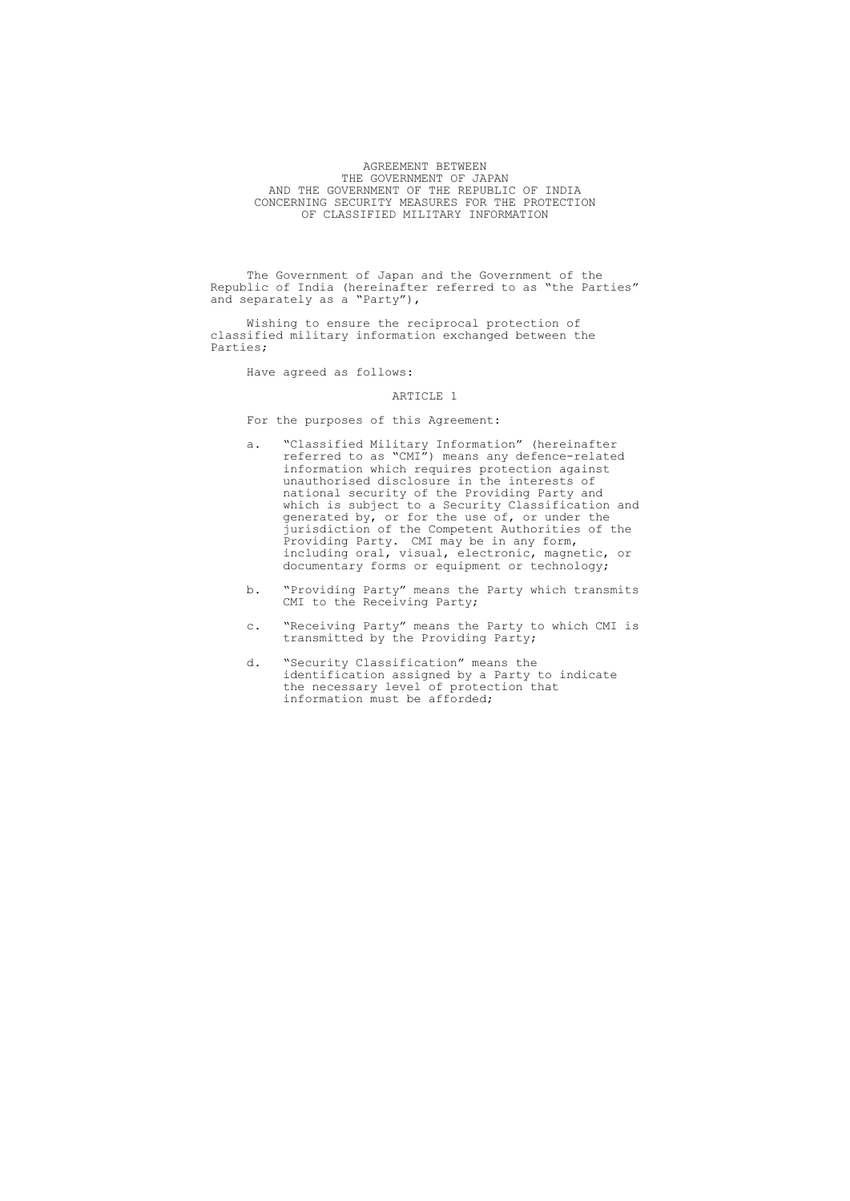# AGREEMENT BETWEEN THE GOVERNMENT OF JAPAN AND THE GOVERNMENT OF THE REPUBLIC OF INDIA CONCERNING SECURITY MEASURES FOR THE PROTECTION OF CLASSIFIED MILITARY INFORMATION

The Government of Japan and the Government of the Republic of India (hereinafter referred to as "the Parties" and separately as a "Party"),

Wishing to ensure the reciprocal protection of classified military information exchanged between the Parties;

Have agreed as follows:

## ARTICLE 1

For the purposes of this Agreement:

- a. "Classified Military Information" (hereinafter referred to as "CMI") means any defence-related information which requires protection against unauthorised disclosure in the interests of national security of the Providing Party and which is subject to a Security Classification and generated by, or for the use of, or under the jurisdiction of the Competent Authorities of the Providing Party. CMI may be in any form, including oral, visual, electronic, magnetic, or documentary forms or equipment or technology;
- b. "Providing Party" means the Party which transmits CMI to the Receiving Party;
- c. "Receiving Party" means the Party to which CMI is transmitted by the Providing Party;
- d. "Security Classification" means the identification assigned by a Party to indicate the necessary level of protection that information must be afforded;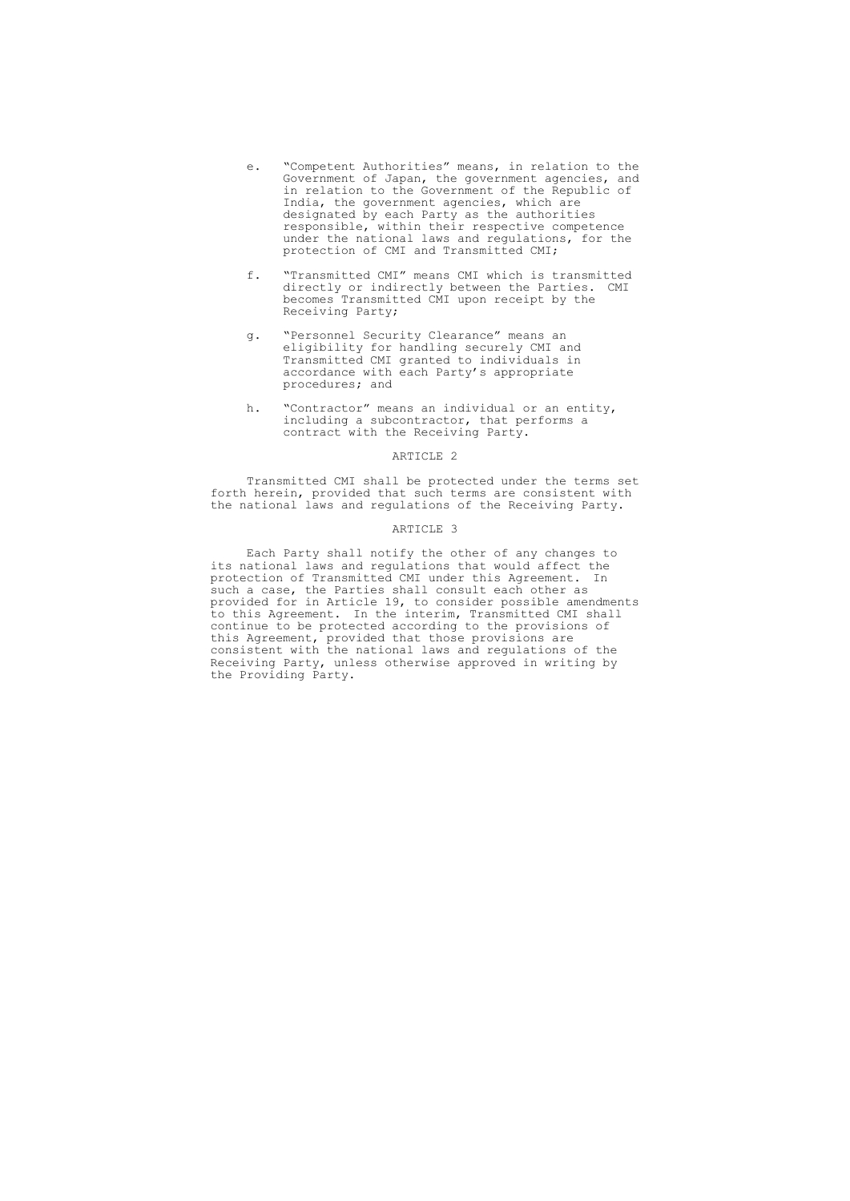- e. "Competent Authorities" means, in relation to the Government of Japan, the government agencies, and in relation to the Government of the Republic of India, the government agencies, which are designated by each Party as the authorities responsible, within their respective competence under the national laws and regulations, for the protection of CMI and Transmitted CMI;
- f. "Transmitted CMI" means CMI which is transmitted directly or indirectly between the Parties. CMI becomes Transmitted CMI upon receipt by the Receiving Party;
- g. "Personnel Security Clearance" means an eligibility for handling securely CMI and Transmitted CMI granted to individuals in accordance with each Party's appropriate procedures; and
- h. "Contractor" means an individual or an entity, including a subcontractor, that performs a contract with the Receiving Party.

Transmitted CMI shall be protected under the terms set forth herein, provided that such terms are consistent with the national laws and regulations of the Receiving Party.

#### ARTICLE 3

Each Party shall notify the other of any changes to its national laws and regulations that would affect the protection of Transmitted CMI under this Agreement. In such a case, the Parties shall consult each other as provided for in Article 19, to consider possible amendments to this Agreement. In the interim, Transmitted CMI shall continue to be protected according to the provisions of this Agreement, provided that those provisions are consistent with the national laws and regulations of the Receiving Party, unless otherwise approved in writing by the Providing Party.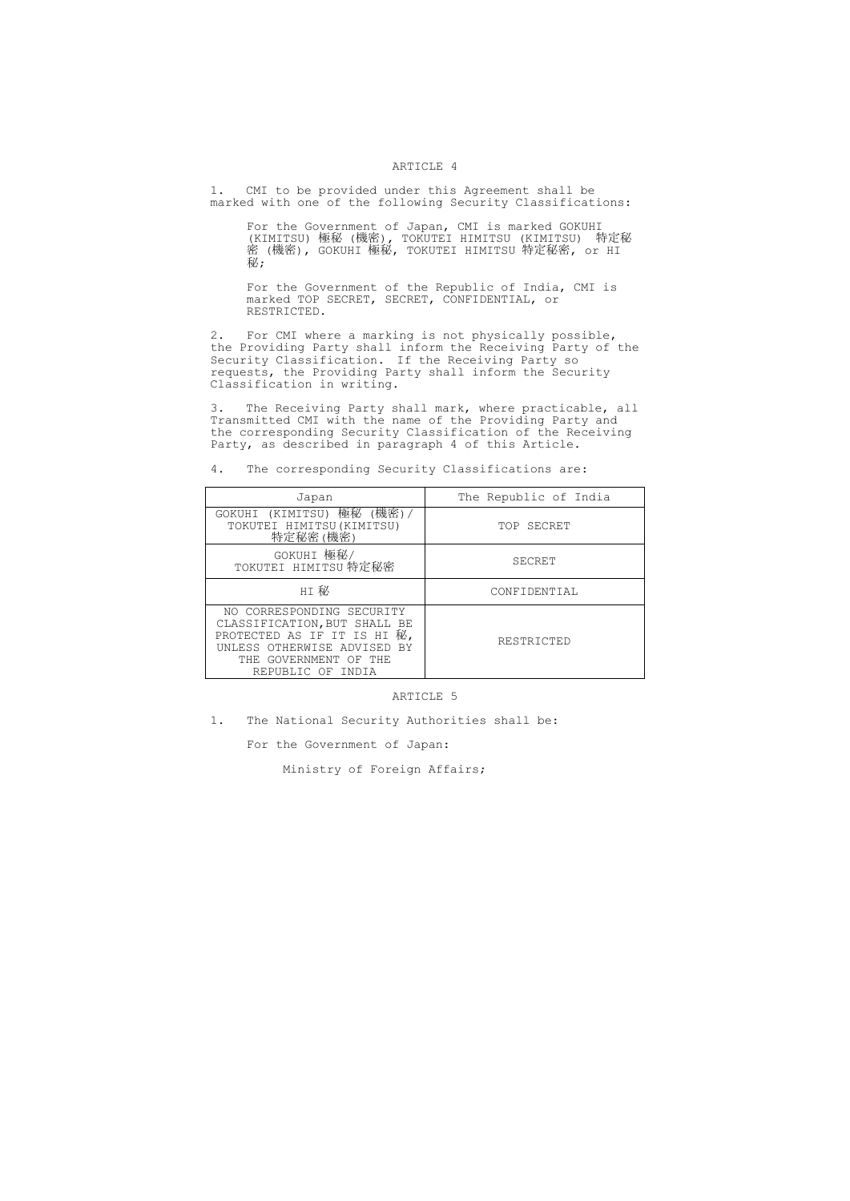1. CMI to be provided under this Agreement shall be marked with one of the following Security Classifications:

For the Government of Japan, CMI is marked GOKUHI (KIMITSU) 極秘 (機密), TOKUTEI HIMITSU (KIMITSU) 特定秘 密 (機密), GOKUHI 極秘, TOKUTEI HIMITSU 特定秘密, or HI 秘;

For the Government of the Republic of India, CMI is marked TOP SECRET, SECRET, CONFIDENTIAL, or RESTRICTED.

2. For CMI where a marking is not physically possible, the Providing Party shall inform the Receiving Party of the Security Classification. If the Receiving Party so requests, the Providing Party shall inform the Security Classification in writing.

3. The Receiving Party shall mark, where practicable, all Transmitted CMI with the name of the Providing Party and the corresponding Security Classification of the Receiving Party, as described in paragraph 4 of this Article.

4. The corresponding Security Classifications are:

| Japan                                                                                                                                                                 | The Republic of India |
|-----------------------------------------------------------------------------------------------------------------------------------------------------------------------|-----------------------|
| GOKUHI (KIMITSU) 極秘 (機密)<br>TOKUTEI HIMITSU (KIMITSU)<br>特定秘密(機密)                                                                                                     | TOP SECRET            |
| GOKUHI 極秘/<br>TOKUTEI HIMITSU 特定秘密                                                                                                                                    | SECRET                |
| HI 秘                                                                                                                                                                  | CONFIDENTIAL          |
| NO CORRESPONDING SECURITY<br>CLASSIFICATION, BUT SHALL BE<br>PROTECTED AS IF IT IS HI 秘,<br>UNLESS OTHERWISE ADVISED BY<br>THE GOVERNMENT OF THE<br>REPUBLIC OF INDIA | RESTRICTED            |

## ARTICLE 5

1. The National Security Authorities shall be:

For the Government of Japan:

Ministry of Foreign Affairs;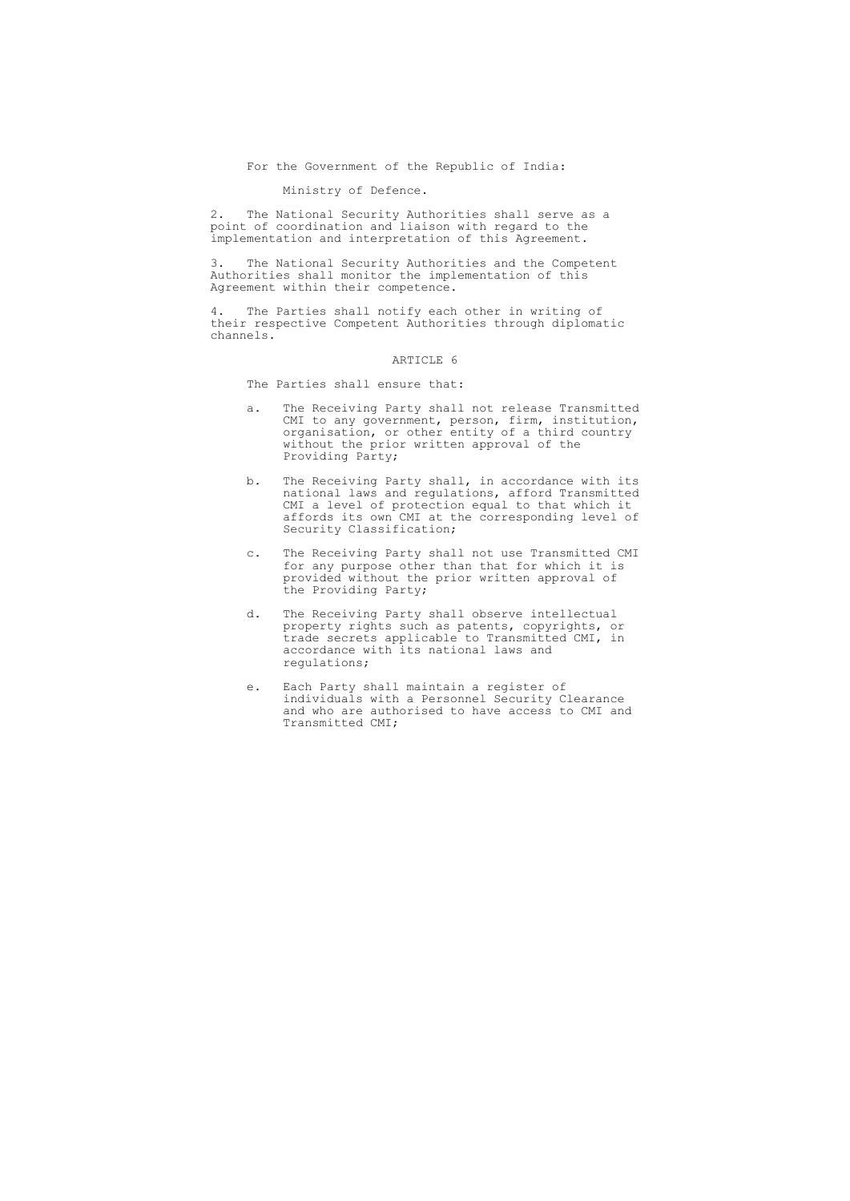For the Government of the Republic of India:

Ministry of Defence.

2. The National Security Authorities shall serve as a point of coordination and liaison with regard to the implementation and interpretation of this Agreement.

3. The National Security Authorities and the Competent Authorities shall monitor the implementation of this Agreement within their competence.

4. The Parties shall notify each other in writing of their respective Competent Authorities through diplomatic channels.

#### ARTICLE 6

The Parties shall ensure that:

- a. The Receiving Party shall not release Transmitted CMI to any government, person, firm, institution, organisation, or other entity of a third country without the prior written approval of the Providing Party;
- b. The Receiving Party shall, in accordance with its national laws and regulations, afford Transmitted CMI a level of protection equal to that which it affords its own CMI at the corresponding level of Security Classification;
- c. The Receiving Party shall not use Transmitted CMI for any purpose other than that for which it is provided without the prior written approval of the Providing Party;
- d. The Receiving Party shall observe intellectual property rights such as patents, copyrights, or trade secrets applicable to Transmitted CMI, in accordance with its national laws and regulations;
- e. Each Party shall maintain a register of individuals with a Personnel Security Clearance and who are authorised to have access to CMI and Transmitted CMI;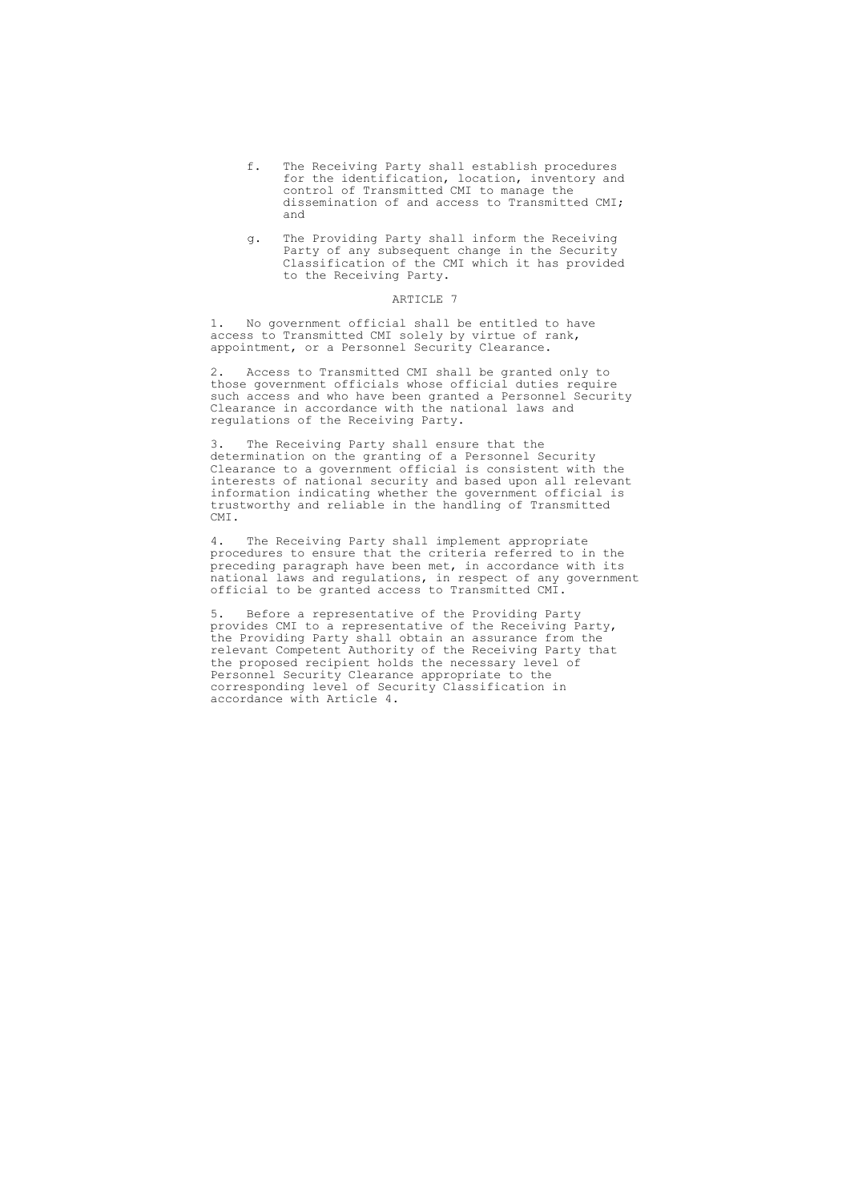- f. The Receiving Party shall establish procedures for the identification, location, inventory and control of Transmitted CMI to manage the dissemination of and access to Transmitted CMI; and
- g. The Providing Party shall inform the Receiving Party of any subsequent change in the Security Classification of the CMI which it has provided to the Receiving Party.

1. No government official shall be entitled to have access to Transmitted CMI solely by virtue of rank, appointment, or a Personnel Security Clearance.

2. Access to Transmitted CMI shall be granted only to those government officials whose official duties require such access and who have been granted a Personnel Security Clearance in accordance with the national laws and regulations of the Receiving Party.

3. The Receiving Party shall ensure that the determination on the granting of a Personnel Security Clearance to a government official is consistent with the interests of national security and based upon all relevant information indicating whether the government official is trustworthy and reliable in the handling of Transmitted CMI.

4. The Receiving Party shall implement appropriate procedures to ensure that the criteria referred to in the preceding paragraph have been met, in accordance with its national laws and regulations, in respect of any government official to be granted access to Transmitted CMI.

5. Before a representative of the Providing Party provides CMI to a representative of the Receiving Party, the Providing Party shall obtain an assurance from the relevant Competent Authority of the Receiving Party that the proposed recipient holds the necessary level of Personnel Security Clearance appropriate to the corresponding level of Security Classification in accordance with Article 4.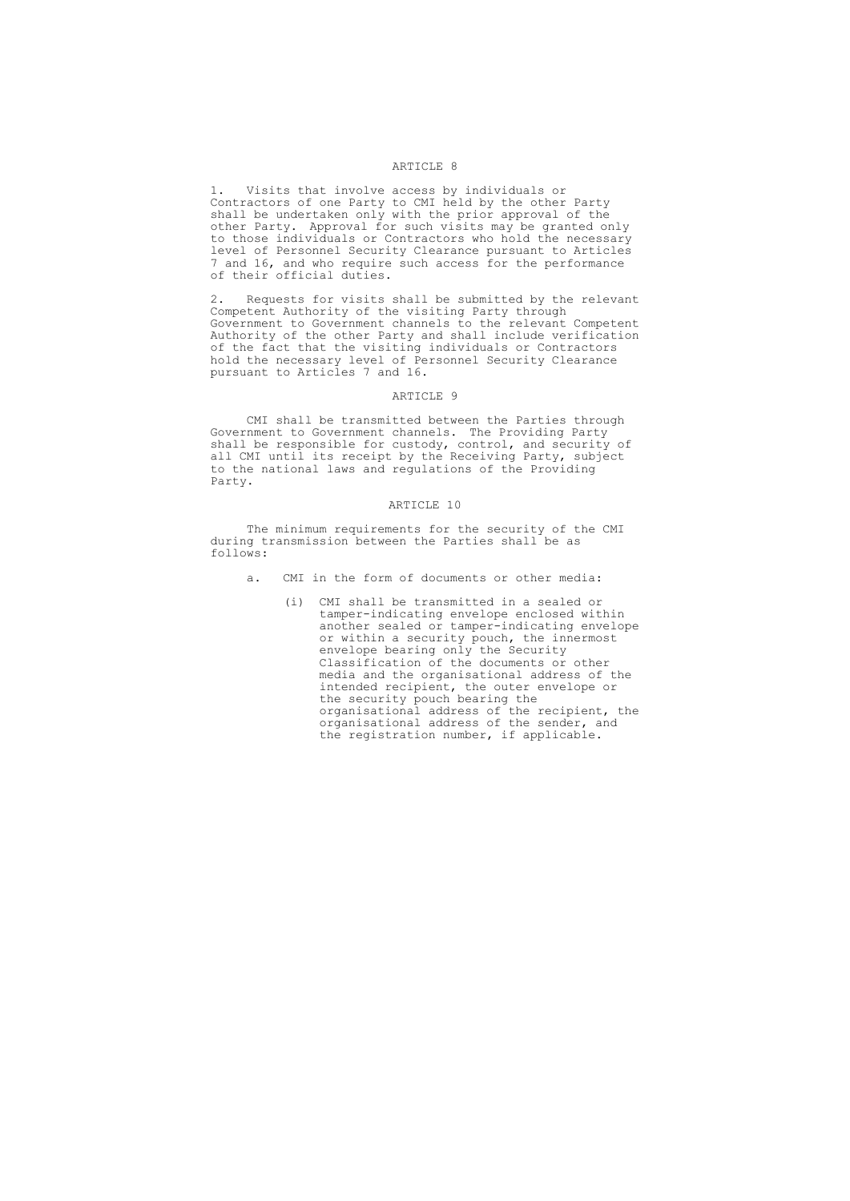1. Visits that involve access by individuals or Contractors of one Party to CMI held by the other Party shall be undertaken only with the prior approval of the other Party. Approval for such visits may be granted only to those individuals or Contractors who hold the necessary level of Personnel Security Clearance pursuant to Articles 7 and 16, and who require such access for the performance of their official duties.

2. Requests for visits shall be submitted by the relevant Competent Authority of the visiting Party through Government to Government channels to the relevant Competent Authority of the other Party and shall include verification of the fact that the visiting individuals or Contractors hold the necessary level of Personnel Security Clearance pursuant to Articles 7 and 16.

### ARTICLE 9

CMI shall be transmitted between the Parties through Government to Government channels. The Providing Party shall be responsible for custody, control, and security of all CMI until its receipt by the Receiving Party, subject to the national laws and regulations of the Providing Party.

#### ARTICLE 10

The minimum requirements for the security of the CMI during transmission between the Parties shall be as follows:

- a. CMI in the form of documents or other media:
	- (i) CMI shall be transmitted in a sealed or tamper-indicating envelope enclosed within another sealed or tamper-indicating envelope or within a security pouch, the innermost envelope bearing only the Security Classification of the documents or other media and the organisational address of the intended recipient, the outer envelope or the security pouch bearing the organisational address of the recipient, the organisational address of the sender, and the registration number, if applicable.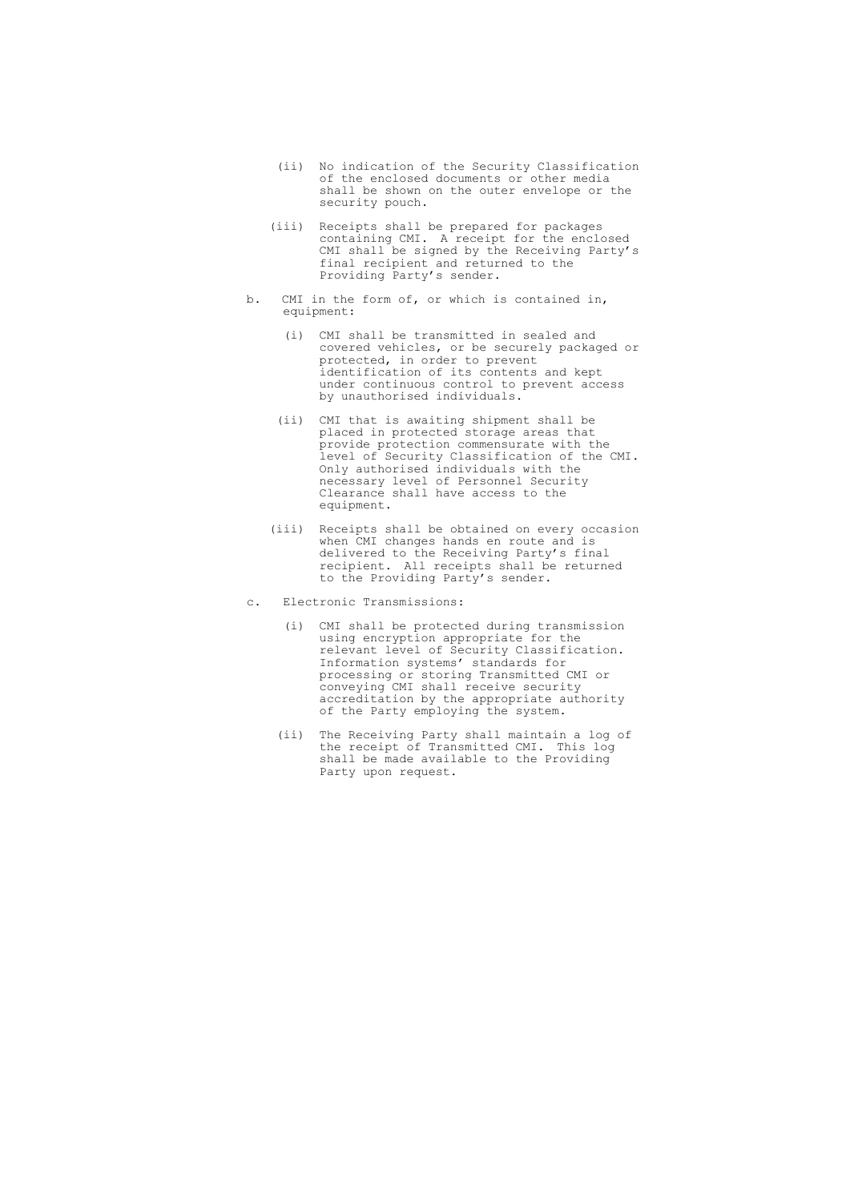- (ii) No indication of the Security Classification of the enclosed documents or other media shall be shown on the outer envelope or the security pouch.
- (iii) Receipts shall be prepared for packages containing CMI. A receipt for the enclosed CMI shall be signed by the Receiving Party's final recipient and returned to the Providing Party's sender.
- b. CMI in the form of, or which is contained in, equipment:
	- (i) CMI shall be transmitted in sealed and covered vehicles, or be securely packaged or protected, in order to prevent identification of its contents and kept under continuous control to prevent access by unauthorised individuals.
	- (ii) CMI that is awaiting shipment shall be placed in protected storage areas that provide protection commensurate with the level of Security Classification of the CMI. Only authorised individuals with the necessary level of Personnel Security Clearance shall have access to the equipment.
	- (iii) Receipts shall be obtained on every occasion when CMI changes hands en route and is delivered to the Receiving Party's final recipient. All receipts shall be returned to the Providing Party's sender.
- c. Electronic Transmissions:
	- (i) CMI shall be protected during transmission using encryption appropriate for the relevant level of Security Classification. Information systems' standards for processing or storing Transmitted CMI or conveying CMI shall receive security accreditation by the appropriate authority of the Party employing the system.
	- (ii) The Receiving Party shall maintain a log of the receipt of Transmitted CMI. This log shall be made available to the Providing Party upon request.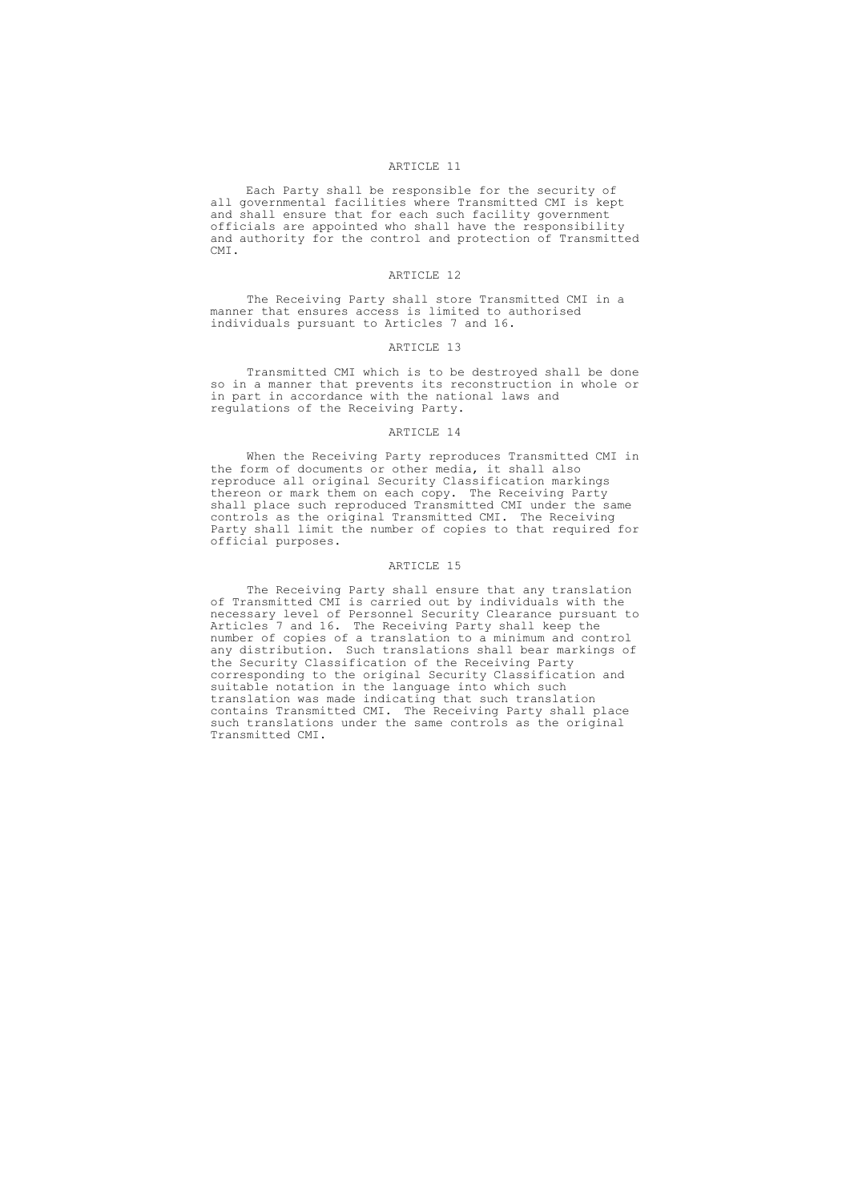Each Party shall be responsible for the security of all governmental facilities where Transmitted CMI is kept and shall ensure that for each such facility government officials are appointed who shall have the responsibility and authority for the control and protection of Transmitted CMI.

#### ARTICLE 12

The Receiving Party shall store Transmitted CMI in a manner that ensures access is limited to authorised individuals pursuant to Articles 7 and 16.

## ARTICLE 13

Transmitted CMI which is to be destroyed shall be done so in a manner that prevents its reconstruction in whole or in part in accordance with the national laws and regulations of the Receiving Party.

### ARTICLE 14

When the Receiving Party reproduces Transmitted CMI in the form of documents or other media, it shall also reproduce all original Security Classification markings thereon or mark them on each copy. The Receiving Party shall place such reproduced Transmitted CMI under the same controls as the original Transmitted CMI. The Receiving Party shall limit the number of copies to that required for official purposes.

#### ARTICLE 15

The Receiving Party shall ensure that any translation of Transmitted CMI is carried out by individuals with the necessary level of Personnel Security Clearance pursuant to Articles 7 and 16. The Receiving Party shall keep the number of copies of a translation to a minimum and control any distribution. Such translations shall bear markings of the Security Classification of the Receiving Party corresponding to the original Security Classification and suitable notation in the language into which such translation was made indicating that such translation contains Transmitted CMI. The Receiving Party shall place such translations under the same controls as the original Transmitted CMI.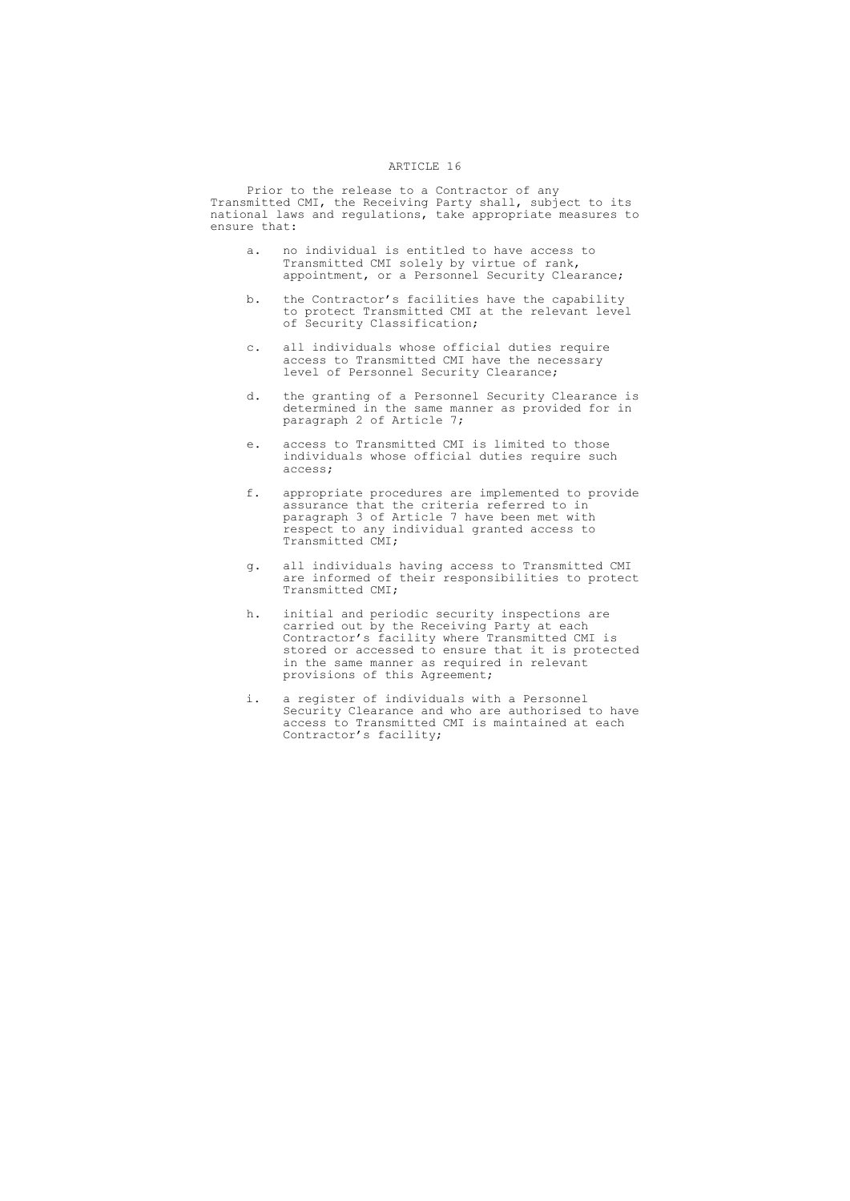Prior to the release to a Contractor of any Transmitted CMI, the Receiving Party shall, subject to its national laws and regulations, take appropriate measures to ensure that:

- a. no individual is entitled to have access to Transmitted CMI solely by virtue of rank, appointment, or a Personnel Security Clearance;
- b. the Contractor's facilities have the capability to protect Transmitted CMI at the relevant level of Security Classification;
- c. all individuals whose official duties require access to Transmitted CMI have the necessary level of Personnel Security Clearance;
- d. the granting of a Personnel Security Clearance is determined in the same manner as provided for in paragraph 2 of Article 7;
- e. access to Transmitted CMI is limited to those individuals whose official duties require such access;
- f. appropriate procedures are implemented to provide assurance that the criteria referred to in paragraph 3 of Article 7 have been met with respect to any individual granted access to Transmitted CMI;
- g. all individuals having access to Transmitted CMI are informed of their responsibilities to protect Transmitted CMI;
- h. initial and periodic security inspections are carried out by the Receiving Party at each Contractor's facility where Transmitted CMI is stored or accessed to ensure that it is protected in the same manner as required in relevant provisions of this Agreement;
- i. a register of individuals with a Personnel Security Clearance and who are authorised to have access to Transmitted CMI is maintained at each Contractor's facility;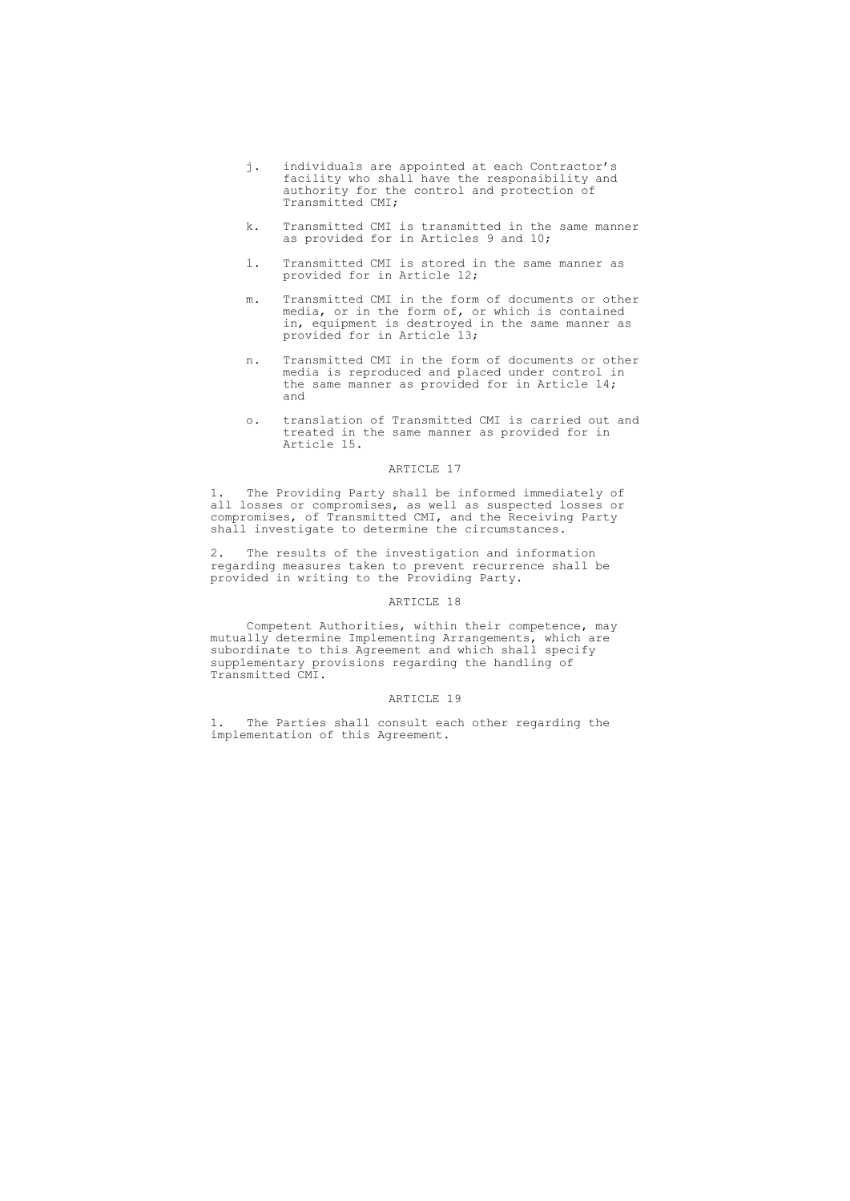- j. individuals are appointed at each Contractor's facility who shall have the responsibility and authority for the control and protection of Transmitted CMI;
- k. Transmitted CMI is transmitted in the same manner as provided for in Articles 9 and 10;
- l. Transmitted CMI is stored in the same manner as provided for in Article 12;
- m. Transmitted CMI in the form of documents or other media, or in the form of, or which is contained in, equipment is destroyed in the same manner as provided for in Article 13;
- n. Transmitted CMI in the form of documents or other media is reproduced and placed under control in the same manner as provided for in Article 14; and
- o. translation of Transmitted CMI is carried out and treated in the same manner as provided for in Article 15.

1. The Providing Party shall be informed immediately of all losses or compromises, as well as suspected losses or compromises, of Transmitted CMI, and the Receiving Party shall investigate to determine the circumstances.

2. The results of the investigation and information regarding measures taken to prevent recurrence shall be provided in writing to the Providing Party.

## ARTICLE 18

Competent Authorities, within their competence, may mutually determine Implementing Arrangements, which are subordinate to this Agreement and which shall specify supplementary provisions regarding the handling of Transmitted CMI.

## ARTICLE 19

1. The Parties shall consult each other regarding the implementation of this Agreement.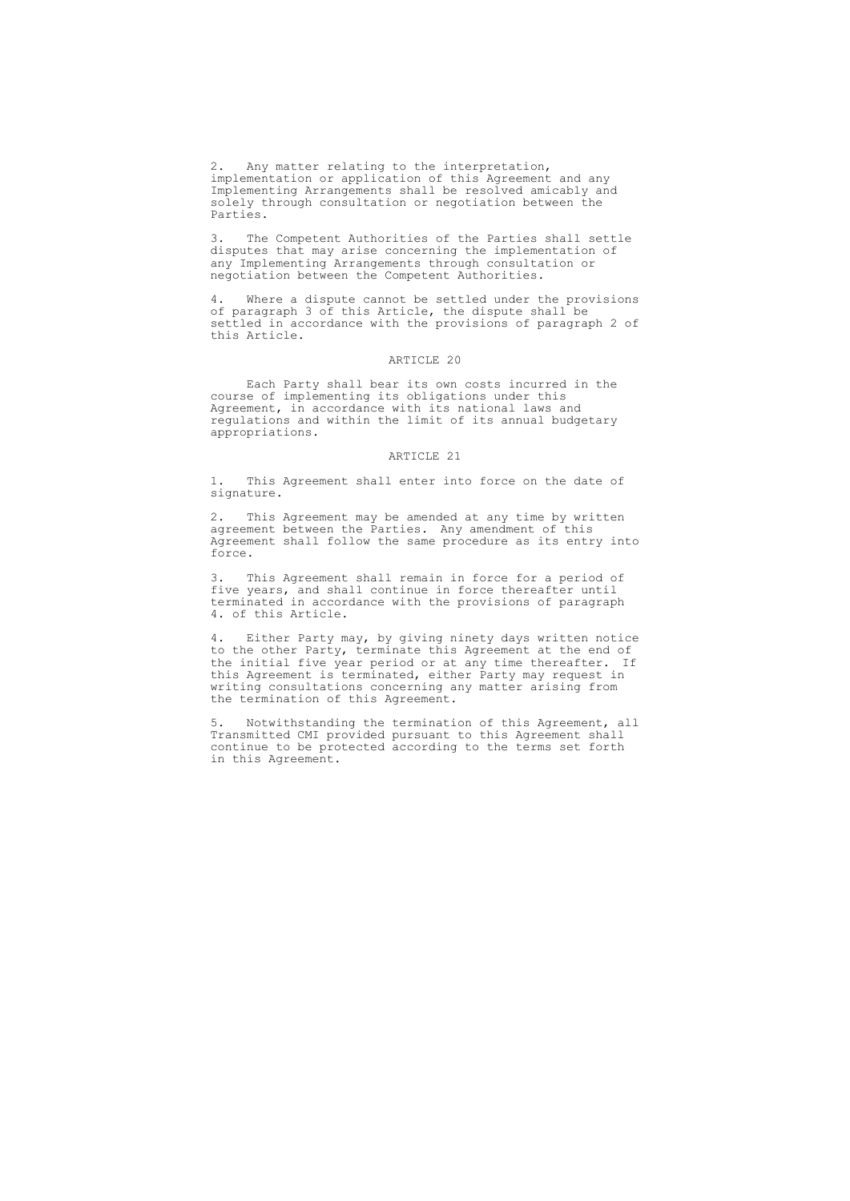2. Any matter relating to the interpretation, implementation or application of this Agreement and any Implementing Arrangements shall be resolved amicably and solely through consultation or negotiation between the Parties.

3. The Competent Authorities of the Parties shall settle disputes that may arise concerning the implementation of any Implementing Arrangements through consultation or negotiation between the Competent Authorities.

4. Where a dispute cannot be settled under the provisions of paragraph 3 of this Article, the dispute shall be settled in accordance with the provisions of paragraph 2 of this Article.

#### ARTICLE 20

Each Party shall bear its own costs incurred in the course of implementing its obligations under this Agreement, in accordance with its national laws and regulations and within the limit of its annual budgetary appropriations.

#### ARTICLE 21

1. This Agreement shall enter into force on the date of signature.

2. This Agreement may be amended at any time by written agreement between the Parties. Any amendment of this Agreement shall follow the same procedure as its entry into force.

3. This Agreement shall remain in force for a period of five years, and shall continue in force thereafter until terminated in accordance with the provisions of paragraph 4. of this Article.

4. Either Party may, by giving ninety days written notice to the other Party, terminate this Agreement at the end of the initial five year period or at any time thereafter. If this Agreement is terminated, either Party may request in writing consultations concerning any matter arising from the termination of this Agreement.

5. Notwithstanding the termination of this Agreement, all Transmitted CMI provided pursuant to this Agreement shall continue to be protected according to the terms set forth in this Agreement.